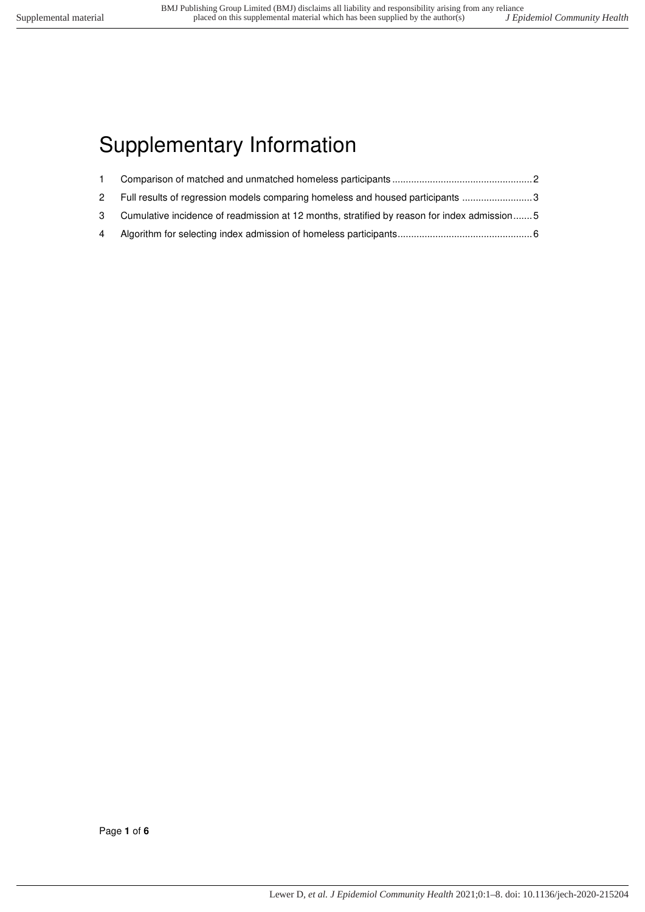# Supplementary Information

|   | 2 Full results of regression models comparing homeless and housed participants                |  |
|---|-----------------------------------------------------------------------------------------------|--|
|   | 3 Cumulative incidence of readmission at 12 months, stratified by reason for index admission5 |  |
| 4 |                                                                                               |  |

Page **1** of **6**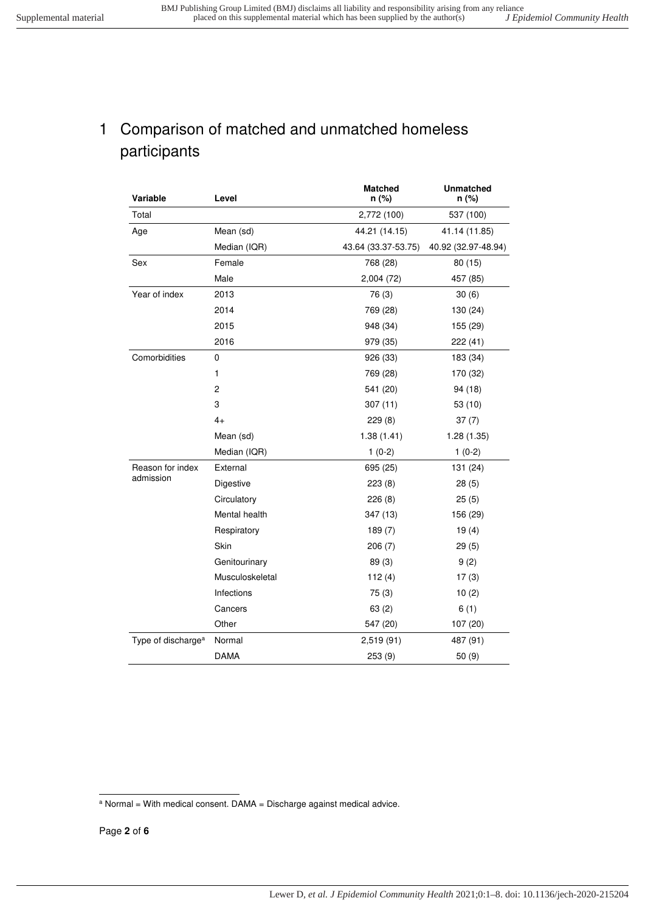### <span id="page-1-0"></span>1 Comparison of matched and unmatched homeless participants

| Variable                       | Level           | <b>Matched</b><br>n (%) | <b>Unmatched</b><br>n (%) |  |
|--------------------------------|-----------------|-------------------------|---------------------------|--|
| Total                          |                 | 2,772 (100)             | 537 (100)                 |  |
| Age                            | Mean (sd)       | 44.21 (14.15)           | 41.14 (11.85)             |  |
|                                | Median (IQR)    | 43.64 (33.37-53.75)     | 40.92 (32.97-48.94)       |  |
| Sex                            | Female          | 768 (28)                | 80(15)                    |  |
|                                | Male            | 2,004 (72)              | 457 (85)                  |  |
| Year of index                  | 2013            | 76 (3)                  | 30(6)                     |  |
|                                | 2014            | 769 (28)                | 130 (24)                  |  |
|                                | 2015            | 948 (34)                | 155 (29)                  |  |
|                                | 2016            | 979 (35)                | 222 (41)                  |  |
| Comorbidities                  | 0               | 926 (33)                | 183 (34)                  |  |
|                                | 1               | 769 (28)                | 170 (32)                  |  |
|                                | $\overline{c}$  | 541 (20)                | 94 (18)                   |  |
|                                | 3               | 307(11)                 | 53(10)                    |  |
|                                | $4+$            | 229(8)                  | 37(7)                     |  |
|                                | Mean (sd)       | 1.38(1.41)              | 1.28(1.35)                |  |
|                                | Median (IQR)    | $1(0-2)$                | $1(0-2)$                  |  |
| Reason for index               | External        | 695 (25)                | 131 (24)                  |  |
| admission                      | Digestive       | 223(8)                  | 28(5)                     |  |
|                                | Circulatory     | 226(8)                  | 25(5)                     |  |
|                                | Mental health   | 347 (13)                | 156 (29)                  |  |
|                                | Respiratory     | 189(7)                  | 19(4)                     |  |
|                                | Skin            | 206(7)                  | 29(5)                     |  |
|                                | Genitourinary   | 89(3)                   | 9(2)                      |  |
|                                | Musculoskeletal | 112(4)                  | 17(3)                     |  |
|                                | Infections      | 75(3)                   | 10(2)                     |  |
|                                | Cancers         | 63(2)                   | 6(1)                      |  |
|                                | Other           | 547 (20)                | 107 (20)                  |  |
| Type of discharge <sup>a</sup> | Normal          | 2,519(91)               | 487 (91)                  |  |
|                                | <b>DAMA</b>     | 253 (9)                 | 50 (9)                    |  |

 a Normal = With medical consent. DAMA = Discharge against medical advice.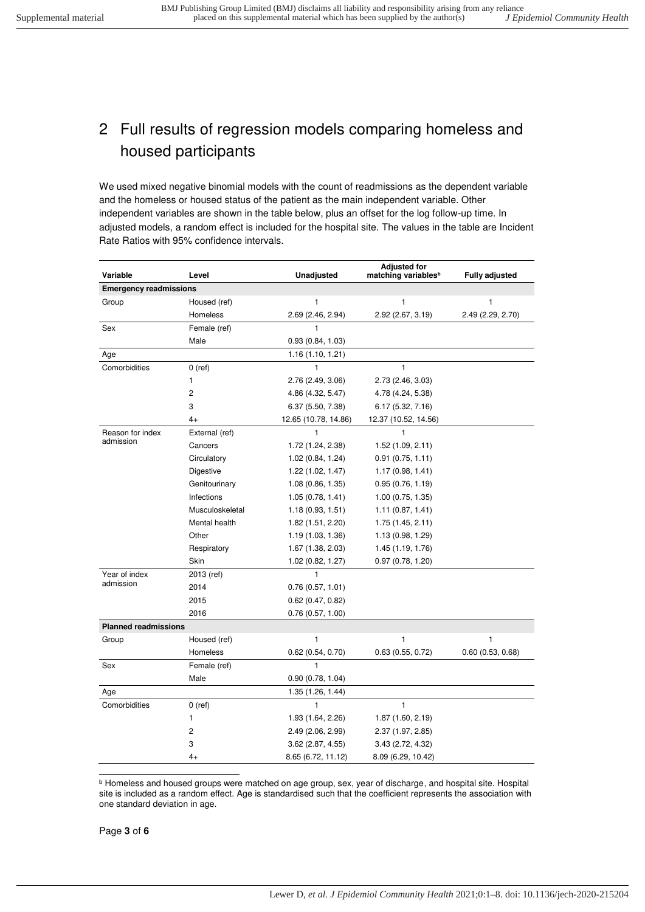#### <span id="page-2-0"></span>2 Full results of regression models comparing homeless and housed participants

We used mixed negative binomial models with the count of readmissions as the dependent variable and the homeless or housed status of the patient as the main independent variable. Other independent variables are shown in the table below, plus an offset for the log follow-up time. In adjusted models, a random effect is included for the hospital site. The values in the table are Incident Rate Ratios with 95% confidence intervals.

| Variable                      | Level           | <b>Unadjusted</b>    | <b>Adjusted for</b><br>matching variables <sup>b</sup> | <b>Fully adjusted</b> |
|-------------------------------|-----------------|----------------------|--------------------------------------------------------|-----------------------|
| <b>Emergency readmissions</b> |                 |                      |                                                        |                       |
| Group                         | Housed (ref)    | 1                    | 1                                                      | 1                     |
|                               | Homeless        | 2.69 (2.46, 2.94)    | 2.92 (2.67, 3.19)                                      | 2.49 (2.29, 2.70)     |
| Sex                           | Female (ref)    | $\mathbf{1}$         |                                                        |                       |
|                               | Male            | 0.93(0.84, 1.03)     |                                                        |                       |
| Age                           |                 | 1.16(1.10, 1.21)     |                                                        |                       |
| Comorbidities                 | $0$ (ref)       | 1                    | $\mathbf{1}$                                           |                       |
|                               | 1               | 2.76 (2.49, 3.06)    | 2.73 (2.46, 3.03)                                      |                       |
|                               | $\overline{2}$  | 4.86 (4.32, 5.47)    | 4.78 (4.24, 5.38)                                      |                       |
|                               | 3               | 6.37 (5.50, 7.38)    | 6.17 (5.32, 7.16)                                      |                       |
|                               | $4+$            | 12.65 (10.78, 14.86) | 12.37 (10.52, 14.56)                                   |                       |
| Reason for index              | External (ref)  | 1                    | 1                                                      |                       |
| admission                     | Cancers         | 1.72 (1.24, 2.38)    | 1.52(1.09, 2.11)                                       |                       |
|                               | Circulatory     | 1.02(0.84, 1.24)     | 0.91(0.75, 1.11)                                       |                       |
|                               | Digestive       | 1.22(1.02, 1.47)     | 1.17(0.98, 1.41)                                       |                       |
|                               | Genitourinary   | 1.08(0.86, 1.35)     | 0.95(0.76, 1.19)                                       |                       |
|                               | Infections      | 1.05(0.78, 1.41)     | 1.00 (0.75, 1.35)                                      |                       |
|                               | Musculoskeletal | 1.18(0.93, 1.51)     | 1.11(0.87, 1.41)                                       |                       |
|                               | Mental health   | 1.82(1.51, 2.20)     | 1.75(1.45, 2.11)                                       |                       |
|                               | Other           | 1.19(1.03, 1.36)     | 1.13(0.98, 1.29)                                       |                       |
|                               | Respiratory     | 1.67 (1.38, 2.03)    | 1.45 (1.19, 1.76)                                      |                       |
|                               | Skin            | 1.02 (0.82, 1.27)    | 0.97(0.78, 1.20)                                       |                       |
| Year of index                 | 2013 (ref)      | $\mathbf{1}$         |                                                        |                       |
| admission                     | 2014            | 0.76(0.57, 1.01)     |                                                        |                       |
|                               | 2015            | 0.62(0.47, 0.82)     |                                                        |                       |
|                               | 2016            | 0.76(0.57, 1.00)     |                                                        |                       |
| <b>Planned readmissions</b>   |                 |                      |                                                        |                       |
| Group                         | Housed (ref)    | 1                    | 1                                                      | 1                     |
|                               | Homeless        | 0.62(0.54, 0.70)     | 0.63(0.55, 0.72)                                       | 0.60(0.53, 0.68)      |
| Sex                           | Female (ref)    | 1                    |                                                        |                       |
|                               | Male            | 0.90(0.78, 1.04)     |                                                        |                       |
| Age                           |                 | 1.35 (1.26, 1.44)    |                                                        |                       |
| Comorbidities                 | $0$ (ref)       | $\mathbf{1}$         | $\mathbf{1}$                                           |                       |
|                               | 1               | 1.93 (1.64, 2.26)    | 1.87(1.60, 2.19)                                       |                       |
|                               | 2               | 2.49 (2.06, 2.99)    | 2.37 (1.97, 2.85)                                      |                       |
|                               | 3               | 3.62(2.87, 4.55)     | 3.43(2.72, 4.32)                                       |                       |
|                               | 4+              | 8.65 (6.72, 11.12)   | 8.09 (6.29, 10.42)                                     |                       |

 b Homeless and housed groups were matched on age group, sex, year of discharge, and hospital site. Hospital site is included as a random effect. Age is standardised such that the coefficient represents the association with one standard deviation in age.

Page **3** of **6**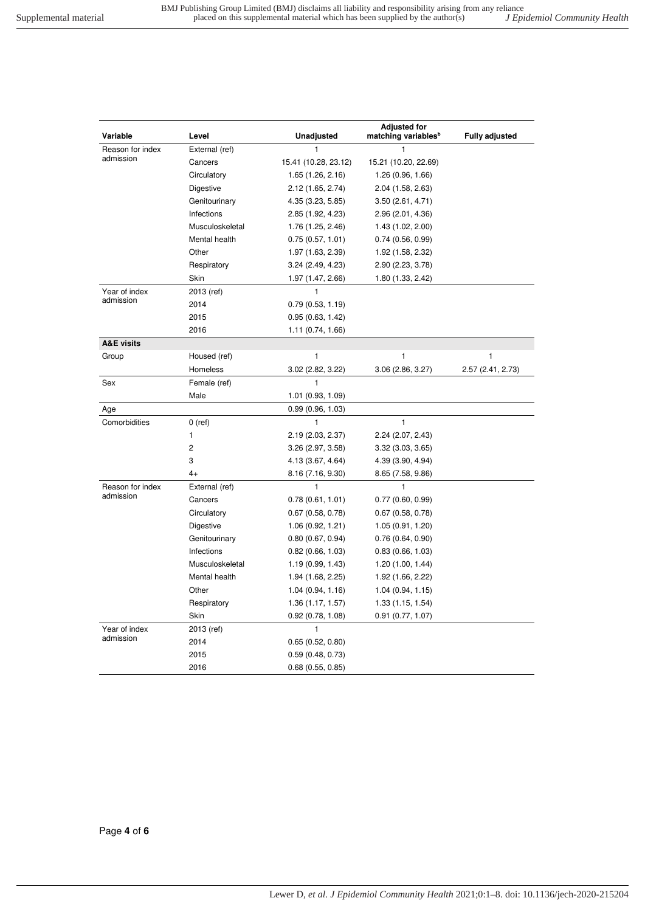| Variable              | Level           | <b>Unadjusted</b>    | <b>Adjusted for</b><br>matching variables <sup>b</sup> | <b>Fully adjusted</b> |
|-----------------------|-----------------|----------------------|--------------------------------------------------------|-----------------------|
| Reason for index      | External (ref)  | 1                    | 1                                                      |                       |
| admission             | Cancers         | 15.41 (10.28, 23.12) | 15.21 (10.20, 22.69)                                   |                       |
|                       | Circulatory     | 1.65 (1.26, 2.16)    | 1.26(0.96, 1.66)                                       |                       |
|                       | Digestive       | 2.12 (1.65, 2.74)    | 2.04 (1.58, 2.63)                                      |                       |
|                       | Genitourinary   | 4.35 (3.23, 5.85)    | 3.50(2.61, 4.71)                                       |                       |
|                       | Infections      | 2.85 (1.92, 4.23)    | 2.96 (2.01, 4.36)                                      |                       |
|                       | Musculoskeletal | 1.76 (1.25, 2.46)    | 1.43 (1.02, 2.00)                                      |                       |
|                       | Mental health   | 0.75(0.57, 1.01)     | 0.74(0.56, 0.99)                                       |                       |
|                       | Other           | 1.97 (1.63, 2.39)    | 1.92 (1.58, 2.32)                                      |                       |
|                       | Respiratory     | 3.24(2.49, 4.23)     | 2.90 (2.23, 3.78)                                      |                       |
|                       | Skin            | 1.97 (1.47, 2.66)    | 1.80 (1.33, 2.42)                                      |                       |
| Year of index         | 2013 (ref)      | 1                    |                                                        |                       |
| admission             | 2014            | 0.79(0.53, 1.19)     |                                                        |                       |
|                       | 2015            | 0.95(0.63, 1.42)     |                                                        |                       |
|                       | 2016            | 1.11(0.74, 1.66)     |                                                        |                       |
| <b>A&amp;E visits</b> |                 |                      |                                                        |                       |
| Group                 | Housed (ref)    | 1                    | 1                                                      | 1                     |
|                       | Homeless        | 3.02 (2.82, 3.22)    | 3.06(2.86, 3.27)                                       | 2.57 (2.41, 2.73)     |
| Sex                   | Female (ref)    | 1                    |                                                        |                       |
|                       | Male            | 1.01(0.93, 1.09)     |                                                        |                       |
| Age                   |                 | 0.99(0.96, 1.03)     |                                                        |                       |
| Comorbidities         | $0$ (ref)       | 1                    | $\mathbf{1}$                                           |                       |
|                       | 1               | 2.19 (2.03, 2.37)    | 2.24 (2.07, 2.43)                                      |                       |
|                       | 2               | 3.26 (2.97, 3.58)    | 3.32(3.03, 3.65)                                       |                       |
|                       | 3               | 4.13 (3.67, 4.64)    | 4.39 (3.90, 4.94)                                      |                       |
|                       | $4+$            | 8.16 (7.16, 9.30)    | 8.65 (7.58, 9.86)                                      |                       |
| Reason for index      | External (ref)  | 1                    | 1                                                      |                       |
| admission             | Cancers         | 0.78(0.61, 1.01)     | 0.77(0.60, 0.99)                                       |                       |
|                       | Circulatory     | 0.67(0.58, 0.78)     | 0.67(0.58, 0.78)                                       |                       |
|                       | Digestive       | 1.06(0.92, 1.21)     | 1.05(0.91, 1.20)                                       |                       |
|                       | Genitourinary   | 0.80(0.67, 0.94)     | 0.76(0.64, 0.90)                                       |                       |
|                       | Infections      | 0.82(0.66, 1.03)     | 0.83(0.66, 1.03)                                       |                       |
|                       | Musculoskeletal | 1.19(0.99, 1.43)     | 1.20(1.00, 1.44)                                       |                       |
|                       | Mental health   | 1.94 (1.68, 2.25)    | 1.92 (1.66, 2.22)                                      |                       |
|                       | Other           | 1.04(0.94, 1.16)     | 1.04(0.94, 1.15)                                       |                       |
|                       | Respiratory     | 1.36(1.17, 1.57)     | 1.33(1.15, 1.54)                                       |                       |
|                       | Skin            | 0.92(0.78, 1.08)     | 0.91(0.77, 1.07)                                       |                       |
| Year of index         | 2013 (ref)      | 1                    |                                                        |                       |
| admission             | 2014            | 0.65(0.52, 0.80)     |                                                        |                       |
|                       | 2015            | 0.59(0.48, 0.73)     |                                                        |                       |
|                       | 2016            | 0.68(0.55, 0.85)     |                                                        |                       |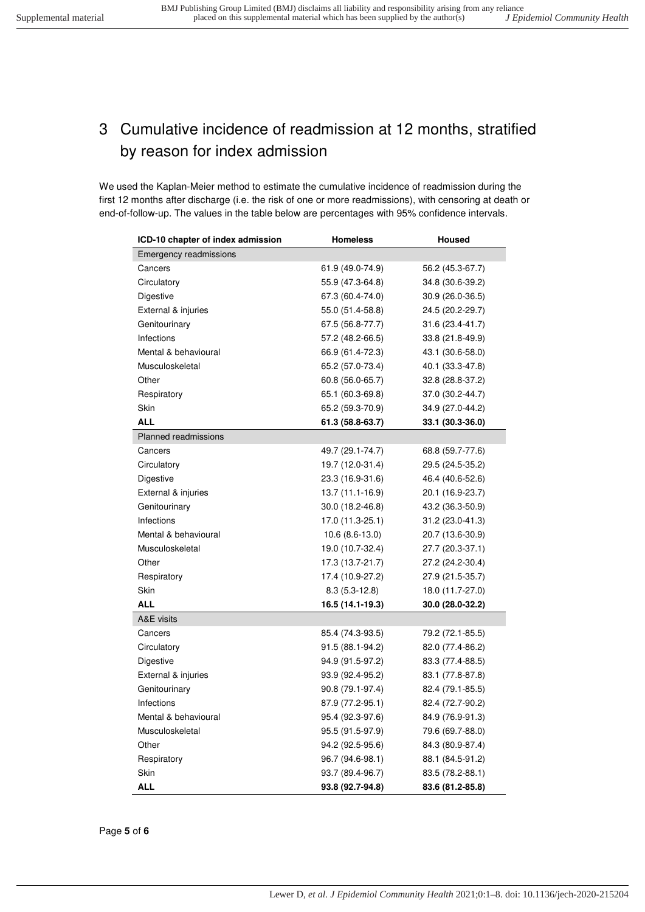## <span id="page-4-0"></span>3 Cumulative incidence of readmission at 12 months, stratified by reason for index admission

We used the Kaplan-Meier method to estimate the cumulative incidence of readmission during the first 12 months after discharge (i.e. the risk of one or more readmissions), with censoring at death or end-of-follow-up. The values in the table below are percentages with 95% confidence intervals.

| ICD-10 chapter of index admission | <b>Homeless</b>   | <b>Housed</b>    |  |  |
|-----------------------------------|-------------------|------------------|--|--|
| <b>Emergency readmissions</b>     |                   |                  |  |  |
| Cancers                           | 61.9 (49.0-74.9)  | 56.2 (45.3-67.7) |  |  |
| Circulatory                       | 55.9 (47.3-64.8)  | 34.8 (30.6-39.2) |  |  |
| Digestive                         | 67.3 (60.4-74.0)  | 30.9 (26.0-36.5) |  |  |
| External & injuries               | 55.0 (51.4-58.8)  | 24.5 (20.2-29.7) |  |  |
| Genitourinary                     | 67.5 (56.8-77.7)  | 31.6 (23.4-41.7) |  |  |
| Infections                        | 57.2 (48.2-66.5)  | 33.8 (21.8-49.9) |  |  |
| Mental & behavioural              | 66.9 (61.4-72.3)  | 43.1 (30.6-58.0) |  |  |
| Musculoskeletal                   | 65.2 (57.0-73.4)  | 40.1 (33.3-47.8) |  |  |
| Other                             | 60.8 (56.0-65.7)  | 32.8 (28.8-37.2) |  |  |
| Respiratory                       | 65.1 (60.3-69.8)  | 37.0 (30.2-44.7) |  |  |
| <b>Skin</b>                       | 65.2 (59.3-70.9)  | 34.9 (27.0-44.2) |  |  |
| <b>ALL</b>                        | 61.3 (58.8-63.7)  | 33.1 (30.3-36.0) |  |  |
| <b>Planned readmissions</b>       |                   |                  |  |  |
| Cancers                           | 49.7 (29.1-74.7)  | 68.8 (59.7-77.6) |  |  |
| Circulatory                       | 19.7 (12.0-31.4)  | 29.5 (24.5-35.2) |  |  |
| Digestive                         | 23.3 (16.9-31.6)  | 46.4 (40.6-52.6) |  |  |
| External & injuries               | $13.7(11.1-16.9)$ | 20.1 (16.9-23.7) |  |  |
| Genitourinary                     | 30.0 (18.2-46.8)  | 43.2 (36.3-50.9) |  |  |
| Infections                        | 17.0 (11.3-25.1)  | 31.2 (23.0-41.3) |  |  |
| Mental & behavioural              | $10.6(8.6-13.0)$  | 20.7 (13.6-30.9) |  |  |
| Musculoskeletal                   | 19.0 (10.7-32.4)  | 27.7 (20.3-37.1) |  |  |
| Other                             | 17.3 (13.7-21.7)  | 27.2 (24.2-30.4) |  |  |
| Respiratory                       | 17.4 (10.9-27.2)  | 27.9 (21.5-35.7) |  |  |
| Skin                              | $8.3(5.3-12.8)$   | 18.0 (11.7-27.0) |  |  |
| <b>ALL</b>                        | 16.5 (14.1-19.3)  | 30.0 (28.0-32.2) |  |  |
| A&E visits                        |                   |                  |  |  |
| Cancers                           | 85.4 (74.3-93.5)  | 79.2 (72.1-85.5) |  |  |
| Circulatory                       | 91.5 (88.1-94.2)  | 82.0 (77.4-86.2) |  |  |
| Digestive                         | 94.9 (91.5-97.2)  | 83.3 (77.4-88.5) |  |  |
| External & injuries               | 93.9 (92.4-95.2)  | 83.1 (77.8-87.8) |  |  |
| Genitourinary                     | 90.8 (79.1-97.4)  | 82.4 (79.1-85.5) |  |  |
| Infections                        | 87.9 (77.2-95.1)  | 82.4 (72.7-90.2) |  |  |
| Mental & behavioural              | 95.4 (92.3-97.6)  | 84.9 (76.9-91.3) |  |  |
| Musculoskeletal                   | 95.5 (91.5-97.9)  | 79.6 (69.7-88.0) |  |  |
| Other                             | 94.2 (92.5-95.6)  | 84.3 (80.9-87.4) |  |  |
| Respiratory                       | 96.7 (94.6-98.1)  | 88.1 (84.5-91.2) |  |  |
| Skin                              | 93.7 (89.4-96.7)  | 83.5 (78.2-88.1) |  |  |
| ALL                               | 93.8 (92.7-94.8)  | 83.6 (81.2-85.8) |  |  |

Page **5** of **6**